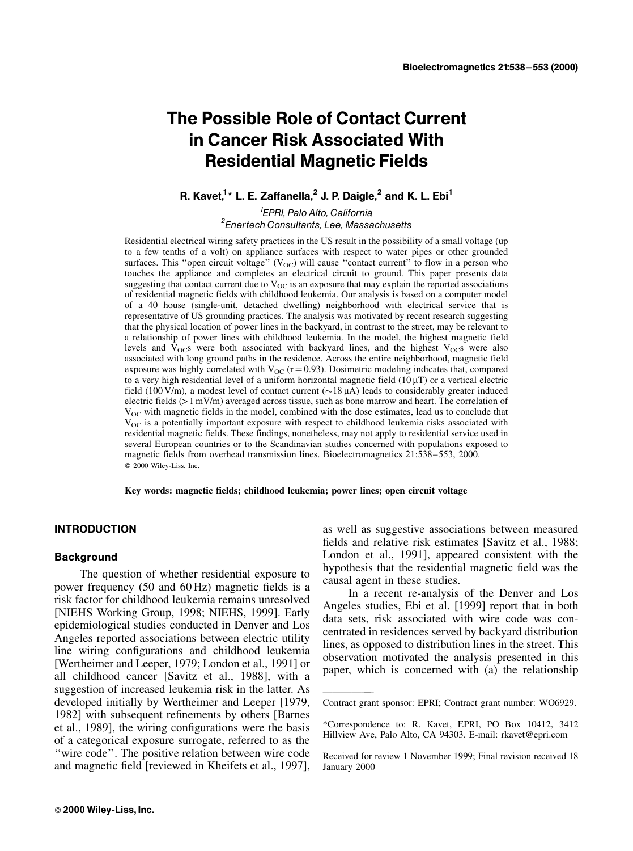# The Possible Role of Contact Current in Cancer Risk Associated With Residential Magnetic Fields

R. Kavet,<sup>1</sup>\* L. E. Zaffanella,<sup>2</sup> J. P. Daigle,<sup>2</sup> and K. L. Ebi<sup>1</sup>

<sup>1</sup>EPRI, Palo Alto, California EPRI, PaloAlto, California <sup>2</sup> Enertech Consultants, Lee, Massachusetts

Residential electrical wiring safety practices in the US result in the possibility of a small voltage (up to a few tenths of a volt) on appliance surfaces with respect to water pipes or other grounded surfaces. This "open circuit voltage"  $(V_{OC})$  will cause "contact current" to flow in a person who touches the appliance and completes an electrical circuit to ground. This paper presents data suggesting that contact current due to  $V_{OC}$  is an exposure that may explain the reported associations of residential magnetic fields with childhood leukemia. Our analysis is based on a computer model of a 40 house (single-unit, detached dwelling) neighborhood with electrical service that is representative of US grounding practices. The analysis was motivated by recent research suggesting that the physical location of power lines in the backyard, in contrast to the street, may be relevant to a relationship of power lines with childhood leukemia. In the model, the highest magnetic field levels and  $V_{OC}$ s were both associated with backyard lines, and the highest  $V_{OC}$ s were also associated with long ground paths in the residence. Across the entire neighborhood, magnetic field exposure was highly correlated with  $V_{OC}$  (r = 0.93). Dosimetric modeling indicates that, compared to a very high residential level of a uniform horizontal magnetic field  $(10 \mu T)$  or a vertical electric field (100 V/m), a modest level of contact current ( $\sim$ 18  $\mu$ A) leads to considerably greater induced electric fields (> 1 mV/m) averaged across tissue, such as bone marrow and heart. The correlation of V<sub>OC</sub> with magnetic fields in the model, combined with the dose estimates, lead us to conclude that  $V_{\text{OC}}$  is a potentially important exposure with respect to childhood leukemia risks associated with residential magnetic fields. These findings, nonetheless, may not apply to residential service used in several European countries or to the Scandinavian studies concerned with populations exposed to magnetic fields from overhead transmission lines. Bioelectromagnetics  $21:538-553$ ,  $2000$ .  $© 2000 Wiley-Liss, Inc.$ 

Key words: magnetic fields; childhood leukemia; power lines; open circuit voltage

<u>oðan sem sem sem se</u>

#### INTRODUCTION

## **Background**

The question of whether residential exposure to power frequency  $(50 \text{ and } 60 \text{ Hz})$  magnetic fields is a risk factor for childhood leukemia remains unresolved [NIEHS Working Group, 1998; NIEHS, 1999]. Early epidemiological studies conducted in Denver and Los Angeles reported associations between electric utility line wiring configurations and childhood leukemia [Wertheimer and Leeper, 1979; London et al., 1991] or all childhood cancer [Savitz et al., 1988], with a suggestion of increased leukemia risk in the latter. As developed initially by Wertheimer and Leeper [1979, 1982] with subsequent refinements by others [Barnes] et al., 1989], the wiring configurations were the basis of a categorical exposure surrogate, referred to as the "wire code". The positive relation between wire code and magnetic field [reviewed in Kheifets et al., 1997],

as well as suggestive associations between measured fields and relative risk estimates [Savitz et al., 1988; London et al., 1991], appeared consistent with the hypothesis that the residential magnetic field was the causal agent in these studies.

In a recent re-analysis of the Denver and Los Angeles studies, Ebi et al. [1999] report that in both data sets, risk associated with wire code was concentrated in residences served by backyard distribution lines, as opposed to distribution lines in the street. This observation motivated the analysis presented in this paper, which is concerned with  $(a)$  the relationship

Contract grant sponsor: EPRI; Contract grant number: WO6929.

<sup>\*</sup>Correspondence to: R. Kavet, EPRI, PO Box 10412, 3412 Hillview Ave, Palo Alto, CA 94303. E-mail: rkavet@epri.com

Received for review 1 November 1999; Final revision received 18 January 2000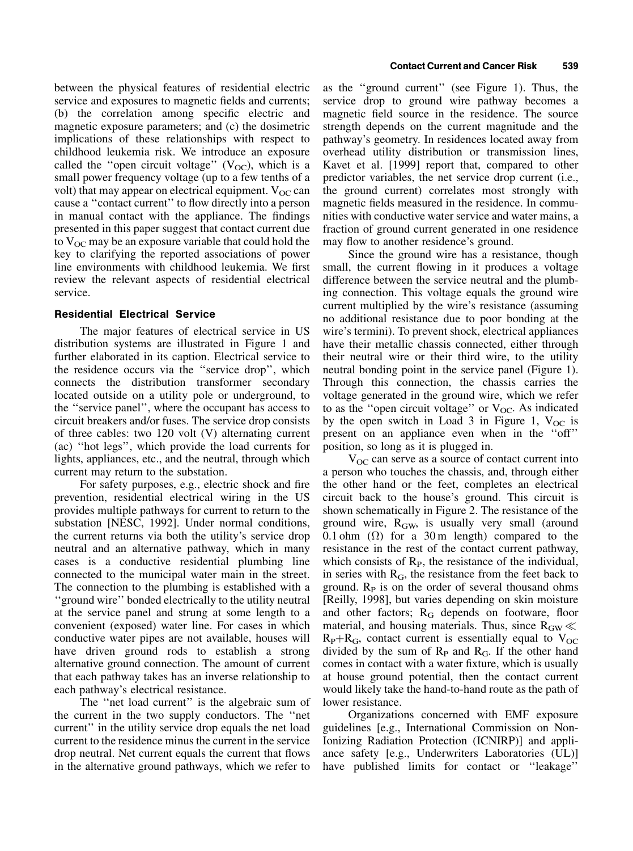between the physical features of residential electric service and exposures to magnetic fields and currents; (b) the correlation among specific electric and magnetic exposure parameters; and (c) the dosimetric implications of these relationships with respect to childhood leukemia risk. We introduce an exposure called the "open circuit voltage"  $(V_{OC})$ , which is a small power frequency voltage (up to a few tenths of a volt) that may appear on electrical equipment.  $V_{OC}$  can cause a "contact current" to flow directly into a person in manual contact with the appliance. The findings presented in this paper suggest that contact current due to  $V_{OC}$  may be an exposure variable that could hold the key to clarifying the reported associations of power line environments with childhood leukemia. We first review the relevant aspects of residential electrical service.

## Residential Electrical Service

The major features of electrical service in US distribution systems are illustrated in Figure 1 and further elaborated in its caption. Electrical service to the residence occurs via the "service drop", which connects the distribution transformer secondary located outside on a utility pole or underground, to the ``service panel'', where the occupant has access to circuit breakers and/or fuses. The service drop consists of three cables: two 120 volt (V) alternating current (ac) ``hot legs'', which provide the load currents for lights, appliances, etc., and the neutral, through which current may return to the substation.

For safety purposes, e.g., electric shock and fire prevention, residential electrical wiring in the US provides multiple pathways for current to return to the substation [NESC, 1992]. Under normal conditions, the current returns via both the utility's service drop neutral and an alternative pathway, which in many cases is a conductive residential plumbing line connected to the municipal water main in the street. The connection to the plumbing is established with a ``ground wire'' bonded electrically to the utility neutral at the service panel and strung at some length to a convenient (exposed) water line. For cases in which conductive water pipes are not available, houses will have driven ground rods to establish a strong alternative ground connection. The amount of current that each pathway takes has an inverse relationship to each pathway's electrical resistance.

The "net load current" is the algebraic sum of the current in the two supply conductors. The ``net current'' in the utility service drop equals the net load current to the residence minus the current in the service drop neutral. Net current equals the current that flows in the alternative ground pathways, which we refer to

as the ``ground current'' (see Figure 1). Thus, the service drop to ground wire pathway becomes a magnetic field source in the residence. The source strength depends on the current magnitude and the pathway's geometry. In residences located away from overhead utility distribution or transmission lines, Kavet et al. [1999] report that, compared to other predictor variables, the net service drop current (i.e., the ground current) correlates most strongly with magnetic fields measured in the residence. In communities with conductive water service and water mains, a fraction of ground current generated in one residence may flow to another residence's ground.

Since the ground wire has a resistance, though small, the current flowing in it produces a voltage difference between the service neutral and the plumbing connection. This voltage equals the ground wire current multiplied by the wire's resistance (assuming no additional resistance due to poor bonding at the wire's termini). To prevent shock, electrical appliances have their metallic chassis connected, either through their neutral wire or their third wire, to the utility neutral bonding point in the service panel (Figure 1). Through this connection, the chassis carries the voltage generated in the ground wire, which we refer to as the "open circuit voltage" or  $V_{OC}$ . As indicated by the open switch in Load 3 in Figure 1,  $V_{OC}$  is present on an appliance even when in the "off" position, so long as it is plugged in.

 $V_{\text{OC}}$  can serve as a source of contact current into a person who touches the chassis, and, through either the other hand or the feet, completes an electrical circuit back to the house's ground. This circuit is shown schematically in Figure 2. The resistance of the ground wire,  $R_{\text{GW}}$ , is usually very small (around 0.1 ohm  $(\Omega)$  for a 30 m length) compared to the resistance in the rest of the contact current pathway, which consists of  $R<sub>P</sub>$ , the resistance of the individual, in series with  $R_G$ , the resistance from the feet back to ground.  $R<sub>P</sub>$  is on the order of several thousand ohms [Reilly, 1998], but varies depending on skin moisture and other factors;  $R_G$  depends on footware, floor material, and housing materials. Thus, since  $R_{\text{GW}} \ll$  $R_P+R_G$ , contact current is essentially equal to  $V_{OC}$ divided by the sum of  $R_P$  and  $R_G$ . If the other hand comes in contact with a water fixture, which is usually at house ground potential, then the contact current would likely take the hand-to-hand route as the path of lower resistance.

Organizations concerned with EMF exposure guidelines [e.g., International Commission on Non-Ionizing Radiation Protection (ICNIRP)] and appliance safety [e.g., Underwriters Laboratories (UL)] have published limits for contact or "leakage"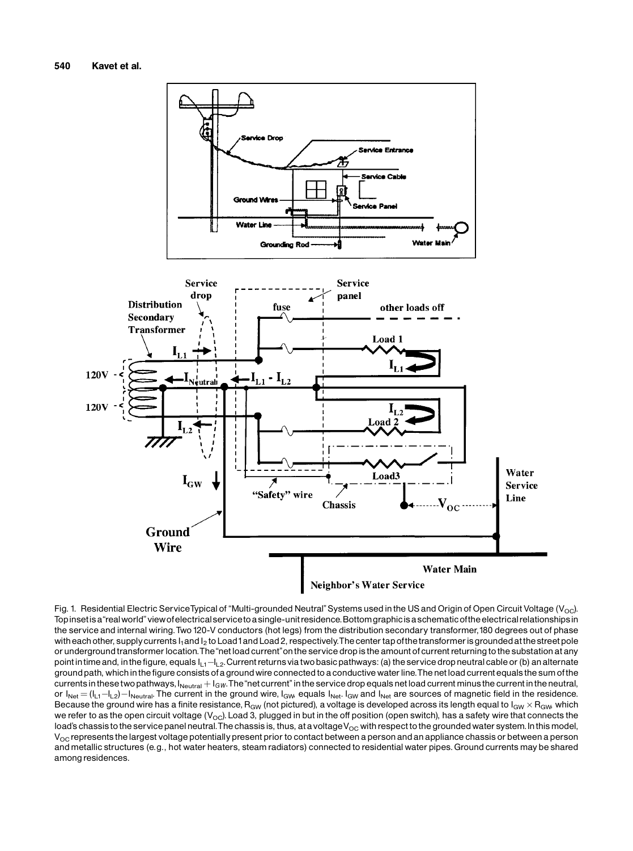

Fig. 1. Residential Electric ServiceTypical of "Multi-grounded Neutral" Systems used in the US and Origin of Open Circuit Voltage (V<sub>OC</sub>). Topinsetisa "real world" view of electrical service to a single-unit residence. Bottom graphic is a schematic of the electrical relationships in the service and internal wiring. Two 120-V conductors (hot legs) from the distribution secondary transformer, 180 degrees out of phase with each other, supply currents I<sub>1</sub> and I<sub>2</sub> to Load1and Load 2, respectively. The center tap of the transformer is grounded at the street pole or underground transformer location. The "net load current" on the service drop is the amount of current returning to the substation at any point in time and, in the figure, equals  $I_{L1}$  $-I_{L2}$ . Current returns viatwo basic pathways: (a) the service drop neutral cable or (b) an alternate ground path, which in the figure consists of a ground wire connected to a conductive water line. The net load current equals the sum of the currents in these two pathways,  $I_{\text{Neutral}} + I_{GW}$ . The "net current" in the service drop equals net load current minus the current in the neutral, or  $I_{\text{Net}} = (I_{L1} - I_{L2}) - I_{\text{Neutral}}$ . The current in the ground wire,  $I_{\text{GW}}$  equals  $I_{\text{Net}}$ .  $I_{\text{GW}}$  and  $I_{\text{Net}}$  are sources of magnetic field in the residence. Because the ground wire has a finite resistance,  $R_{GW}$  (not pictured), a voltage is developed across its length equal to  $I_{GW}$   $\times$   $R_{GW}$  which we refer to as the open circuit voltage ( $V_{\rm OC}$ ). Load 3, plugged in but in the off position (open switch), has a safety wire that connects the load's chassis to the service panel neutral. The chassis is, thus, at a voltage  $V_{\rm OC}$  with respect to the grounded water system. In this model,  $V_{OC}$  represents the largest voltage potentially present prior to contact between a person and an appliance chassis or between a person and metallic structures (e.g., hot water heaters, steam radiators) connected to residential water pipes. Ground currents may be shared among residences.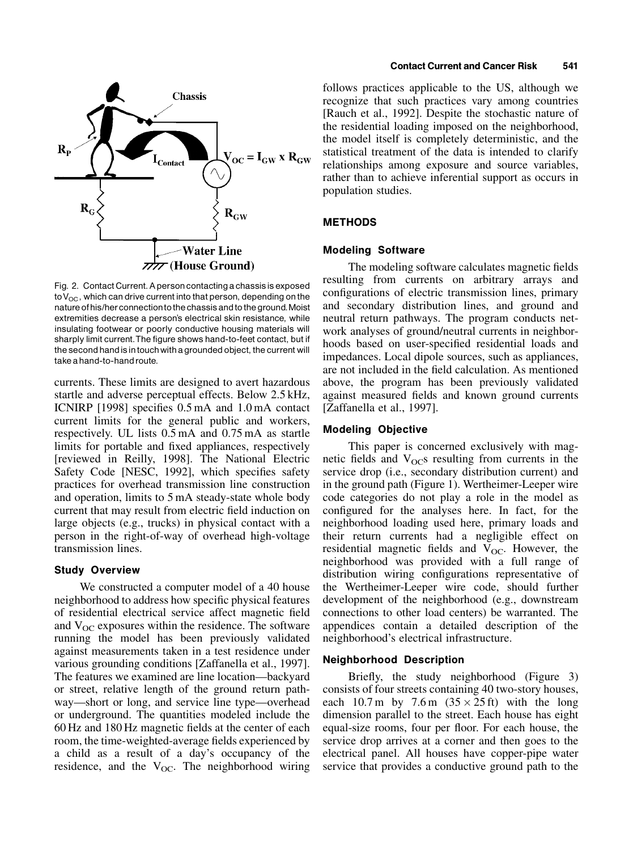

Fig. 2. Contact Current. A person contacting a chassis is exposed to  $V_{OC}$ , which can drive current into that person, depending on the nature of his/her connection to the chassis and to the ground. Moist extremities decrease a person's electrical skin resistance, while insulating footwear or poorly conductive housing materials will sharply limit current.The figure shows hand-to-feet contact, but if the second hand is in touch with a grounded object, the current will take a hand-to-hand route.

currents. These limits are designed to avert hazardous startle and adverse perceptual effects. Below 2.5 kHz, ICNIRP [1998] specifies  $0.5$  mA and  $1.0$  mA contact current limits for the general public and workers, respectively. UL lists 0.5 mA and 0.75 mA as startle limits for portable and fixed appliances, respectively [reviewed in Reilly, 1998]. The National Electric Safety Code [NESC, 1992], which specifies safety practices for overhead transmission line construction and operation, limits to 5 mA steady-state whole body current that may result from electric field induction on large objects (e.g., trucks) in physical contact with a person in the right-of-way of overhead high-voltage transmission lines.

#### Study Overview

We constructed a computer model of a 40 house neighborhood to address how specific physical features of residential electrical service affect magnetic field and  $V_{OC}$  exposures within the residence. The software running the model has been previously validated against measurements taken in a test residence under various grounding conditions [Zaffanella et al., 1997]. The features we examined are line location—backyard or street, relative length of the ground return pathway—short or long, and service line type—overhead or underground. The quantities modeled include the 60 Hz and 180 Hz magnetic fields at the center of each room, the time-weighted-average fields experienced by a child as a result of a day's occupancy of the residence, and the  $V_{OC}$ . The neighborhood wiring follows practices applicable to the US, although we recognize that such practices vary among countries [Rauch et al., 1992]. Despite the stochastic nature of the residential loading imposed on the neighborhood, the model itself is completely deterministic, and the statistical treatment of the data is intended to clarify relationships among exposure and source variables, rather than to achieve inferential support as occurs in population studies.

#### METHODS

#### Modeling Software

The modeling software calculates magnetic fields resulting from currents on arbitrary arrays and configurations of electric transmission lines, primary and secondary distribution lines, and ground and neutral return pathways. The program conducts network analyses of ground/neutral currents in neighborhoods based on user-specified residential loads and impedances. Local dipole sources, such as appliances, are not included in the field calculation. As mentioned above, the program has been previously validated against measured fields and known ground currents [Zaffanella et al., 1997].

#### Modeling Objective

This paper is concerned exclusively with magnetic fields and  $V_{OC}$ s resulting from currents in the service drop (i.e., secondary distribution current) and in the ground path (Figure 1). Wertheimer-Leeper wire code categories do not play a role in the model as configured for the analyses here. In fact, for the neighborhood loading used here, primary loads and their return currents had a negligible effect on residential magnetic fields and  $V_{OC}$ . However, the neighborhood was provided with a full range of distribution wiring configurations representative of the Wertheimer-Leeper wire code, should further development of the neighborhood (e.g., downstream connections to other load centers) be warranted. The appendices contain a detailed description of the neighborhood's electrical infrastructure.

#### Neighborhood Description

Briefly, the study neighborhood (Figure 3) consists of four streets containing 40 two-story houses, each 10.7 m by 7.6 m  $(35 \times 25 \text{ ft})$  with the long dimension parallel to the street. Each house has eight equal-size rooms, four per floor. For each house, the service drop arrives at a corner and then goes to the electrical panel. All houses have copper-pipe water service that provides a conductive ground path to the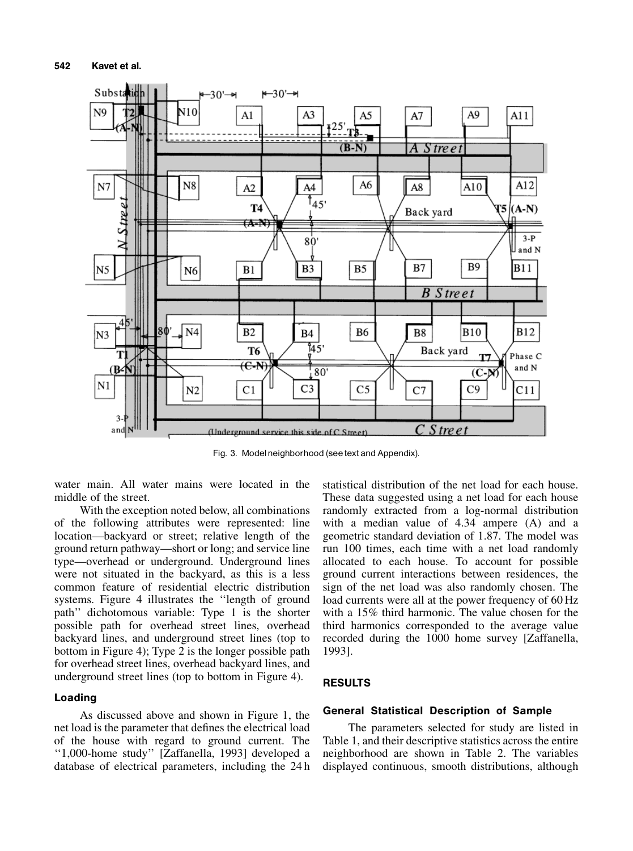

Fig. 3. Model neighborhood (see text and Appendix).

water main. All water mains were located in the middle of the street.

With the exception noted below, all combinations of the following attributes were represented: line location—backyard or street; relative length of the ground return pathway—short or long; and service line type—overhead or underground. Underground lines were not situated in the backyard, as this is a less common feature of residential electric distribution systems. Figure 4 illustrates the "length of ground path'' dichotomous variable: Type 1 is the shorter possible path for overhead street lines, overhead backyard lines, and underground street lines (top to bottom in Figure 4); Type 2 is the longer possible path for overhead street lines, overhead backyard lines, and underground street lines (top to bottom in Figure 4).

## Loading

As discussed above and shown in Figure 1, the net load is the parameter that defines the electrical load of the house with regard to ground current. The ``1,000-home study'' [Zaffanella, 1993] developed a database of electrical parameters, including the 24 h

statistical distribution of the net load for each house. These data suggested using a net load for each house randomly extracted from a log-normal distribution with a median value of 4.34 ampere (A) and a geometric standard deviation of 1.87. The model was run 100 times, each time with a net load randomly allocated to each house. To account for possible ground current interactions between residences, the sign of the net load was also randomly chosen. The load currents were all at the power frequency of 60 Hz with a 15% third harmonic. The value chosen for the third harmonics corresponded to the average value recorded during the 1000 home survey [Zaffanella, 1993].

## RESULTS

### General Statistical Description of Sample

The parameters selected for study are listed in Table 1, and their descriptive statistics across the entire neighborhood are shown in Table 2. The variables displayed continuous, smooth distributions, although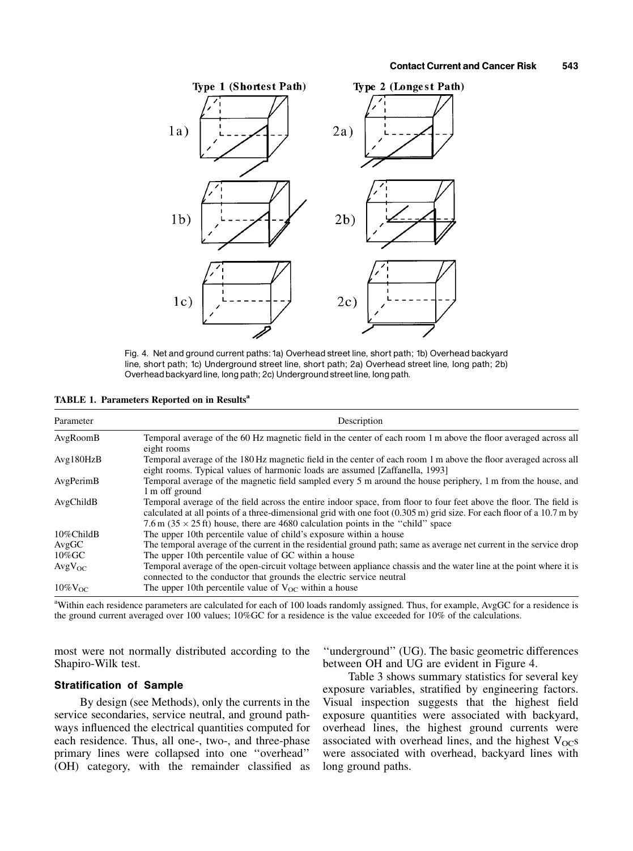

Fig. 4. Net and ground current paths:1a) Overhead street line, short path; 1b) Overhead backyard line, short path; 1c) Underground street line, short path; 2a) Overhead street line, long path; 2b) Overhead backyard line, long path; 2c) Underground street line, long path.

| Parameter       | Description                                                                                                                                                                                                                                                                                                                              |
|-----------------|------------------------------------------------------------------------------------------------------------------------------------------------------------------------------------------------------------------------------------------------------------------------------------------------------------------------------------------|
| AvgRoomB        | Temporal average of the 60 Hz magnetic field in the center of each room 1 m above the floor averaged across all<br>eight rooms                                                                                                                                                                                                           |
| Avg180HzB       | Temporal average of the 180 Hz magnetic field in the center of each room 1 m above the floor averaged across all<br>eight rooms. Typical values of harmonic loads are assumed [Zaffanella, 1993]                                                                                                                                         |
| AvgPerimB       | Temporal average of the magnetic field sampled every 5 m around the house periphery, 1 m from the house, and<br>1 m off ground                                                                                                                                                                                                           |
| AvgChildB       | Temporal average of the field across the entire indoor space, from floor to four feet above the floor. The field is<br>calculated at all points of a three-dimensional grid with one foot (0.305 m) grid size. For each floor of a 10.7 m by<br>7.6 m ( $35 \times 25$ ft) house, there are 4680 calculation points in the "child" space |
| 10%ChildB       | The upper 10th percentile value of child's exposure within a house                                                                                                                                                                                                                                                                       |
| AvgGC           | The temporal average of the current in the residential ground path; same as average net current in the service drop                                                                                                                                                                                                                      |
| $10\%$ GC       | The upper 10th percentile value of GC within a house                                                                                                                                                                                                                                                                                     |
| $AvgV_{OC}$     | Temporal average of the open-circuit voltage between appliance chassis and the water line at the point where it is<br>connected to the conductor that grounds the electric service neutral                                                                                                                                               |
| $10\%$ $V_{OC}$ | The upper 10th percentile value of $V_{OC}$ within a house                                                                                                                                                                                                                                                                               |

<sup>a</sup>Within each residence parameters are calculated for each of 100 loads randomly assigned. Thus, for example, AvgGC for a residence is the ground current averaged over 100 values; 10%GC for a residence is the value exceeded for 10% of the calculations.

most were not normally distributed according to the Shapiro-Wilk test.

#### Stratification of Sample

By design (see Methods), only the currents in the service secondaries, service neutral, and ground pathways influenced the electrical quantities computed for each residence. Thus, all one-, two-, and three-phase primary lines were collapsed into one "overhead" (OH) category, with the remainder classified as

``underground'' (UG). The basic geometric differences between OH and UG are evident in Figure 4.

Table 3 shows summary statistics for several key exposure variables, stratified by engineering factors. Visual inspection suggests that the highest field exposure quantities were associated with backyard, overhead lines, the highest ground currents were associated with overhead lines, and the highest  $V_{OC}$ s were associated with overhead, backyard lines with long ground paths.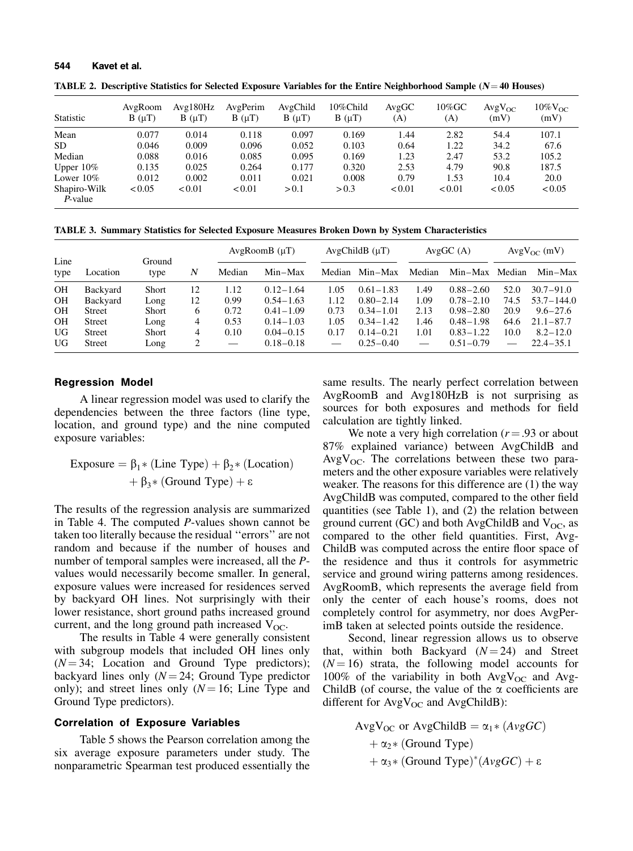| TABLE 2. Descriptive Statistics for Selected Exposure Variables for the Entire Neighborhood Sample ( $N=40$ Houses) |  |
|---------------------------------------------------------------------------------------------------------------------|--|
|---------------------------------------------------------------------------------------------------------------------|--|

| Statistic               | AvgRoom<br>$B(\mu T)$ | Avg180Hz<br>$B(\mu T)$ | AvgPerim<br>$B(\mu T)$ | AvgChild<br>$B(\mu T)$ | 10%Child<br>$B(\mu T)$ | AvgGC<br>(A) | $10\%$ GC<br>(A) | $AvgV_{OC}$<br>(mV) | $10\%$ $V_{OC}$<br>(mV) |
|-------------------------|-----------------------|------------------------|------------------------|------------------------|------------------------|--------------|------------------|---------------------|-------------------------|
| Mean                    | 0.077                 | 0.014                  | 0.118                  | 0.097                  | 0.169                  | 1.44         | 2.82             | 54.4                | 107.1                   |
| SD.                     | 0.046                 | 0.009                  | 0.096                  | 0.052                  | 0.103                  | 0.64         | 1.22             | 34.2                | 67.6                    |
| Median                  | 0.088                 | 0.016                  | 0.085                  | 0.095                  | 0.169                  | 1.23         | 2.47             | 53.2                | 105.2                   |
| Upper $10\%$            | 0.135                 | 0.025                  | 0.264                  | 0.177                  | 0.320                  | 2.53         | 4.79             | 90.8                | 187.5                   |
| Lower $10\%$            | 0.012                 | 0.002                  | 0.011                  | 0.021                  | 0.008                  | 0.79         | 1.53             | 10.4                | 20.0                    |
| Shapiro-Wilk<br>P-value | < 0.05                | < 0.01                 | < 0.01                 | > 0.1                  | > 0.3                  | < 0.01       | < 0.01           | < 0.05              | < 0.05                  |

TABLE 3. Summary Statistics for Selected Exposure Measures Broken Down by System Characteristics

|              |               |                |    |        | AvgRoomB (µT) |        | AvgChildB (uT) |               | AvgGC(A)      |        | $AvgV_{OC}$ (mV) |
|--------------|---------------|----------------|----|--------|---------------|--------|----------------|---------------|---------------|--------|------------------|
| Line<br>type | Location      | Ground<br>type | N  | Median | $Min-Max$     | Median | $Min-Max$      | Median        | $Min-Max$     | Median | $Min-Max$        |
| <b>OH</b>    | Backyard      | Short          | 12 | 1.12   | $0.12 - 1.64$ | 1.05   | $0.61 - 1.83$  | 1.49          | $0.88 - 2.60$ | 52.0   | $30.7 - 91.0$    |
| <b>OH</b>    | Backyard      | Long           | 12 | 0.99   | $0.54 - 1.63$ | 1.12   | $0.80 - 2.14$  | 1.09          | $0.78 - 2.10$ | 74.5   | $53.7 - 144.0$   |
| <b>OH</b>    | Street        | Short          | 6  | 0.72   | $0.41 - 1.09$ | 0.73   | $0.34 - 1.01$  | 2.13          | $0.98 - 2.80$ | 20.9   | $9.6 - 27.6$     |
| <b>OH</b>    | Street        | Long           | 4  | 0.53   | $0.14 - 1.03$ | 1.05   | $0.34 - 1.42$  | 1.46          | $0.48 - 1.98$ | 64.6   | $21.1 - 87.7$    |
| UG           | <b>Street</b> | <b>Short</b>   | 4  | 0.10   | $0.04 - 0.15$ | 0.17   | $0.14 - 0.21$  | 1.01          | $0.83 - 1.22$ | 10.0   | $8.2 - 12.0$     |
| UG           | <b>Street</b> | Long           | 2  |        | $0.18 - 0.18$ |        | $0.25 - 0.40$  | $\frac{1}{2}$ | $0.51 - 0.79$ |        | $22.4 - 35.1$    |

#### Regression Model

A linear regression model was used to clarify the dependencies between the three factors (line type, location, and ground type) and the nine computed exposure variables:

$$
Exposure = β1*(Line Type) + β2*(Location)+ β3*(Ground Type) + ε
$$

The results of the regression analysis are summarized in Table 4. The computed P-values shown cannot be taken too literally because the residual "errors" are not random and because if the number of houses and number of temporal samples were increased, all the Pvalues would necessarily become smaller. In general, exposure values were increased for residences served by backyard OH lines. Not surprisingly with their lower resistance, short ground paths increased ground current, and the long ground path increased  $V_{OC}$ .

The results in Table 4 were generally consistent with subgroup models that included OH lines only  $(N = 34;$  Location and Ground Type predictors); backyard lines only  $(N = 24)$ ; Ground Type predictor only); and street lines only  $(N = 16;$  Line Type and Ground Type predictors).

#### Correlation of Exposure Variables

Table 5 shows the Pearson correlation among the six average exposure parameters under study. The nonparametric Spearman test produced essentially the same results. The nearly perfect correlation between AvgRoomB and Avg180HzB is not surprising as sources for both exposures and methods for field calculation are tightly linked.

We note a very high correlation ( $r = .93$  or about 87% explained variance) between AvgChildB and  $AvgV<sub>OC</sub>$ . The correlations between these two parameters and the other exposure variables were relatively weaker. The reasons for this difference are (1) the way AvgChildB was computed, compared to the other field quantities (see Table 1), and (2) the relation between ground current (GC) and both AvgChildB and  $V_{OC}$ , as compared to the other field quantities. First, Avg-ChildB was computed across the entire floor space of the residence and thus it controls for asymmetric service and ground wiring patterns among residences. AvgRoomB, which represents the average field from only the center of each house's rooms, does not completely control for asymmetry, nor does AvgPerimB taken at selected points outside the residence.

Second, linear regression allows us to observe that, within both Backyard  $(N = 24)$  and Street  $(N = 16)$  strata, the following model accounts for 100% of the variability in both  $AvgV_{OC}$  and Avg-ChildB (of course, the value of the  $\alpha$  coefficients are different for  $AvgV_{OC}$  and  $AvgChild$ ):

$$
AvgV_{OC} \text{ or } AvgChildB = \alpha_1 * (AvgGC)
$$
  
+  $\alpha_2 * (Ground Type)$   
+  $\alpha_3 * (Ground Type)^*(AvgGC) + \varepsilon$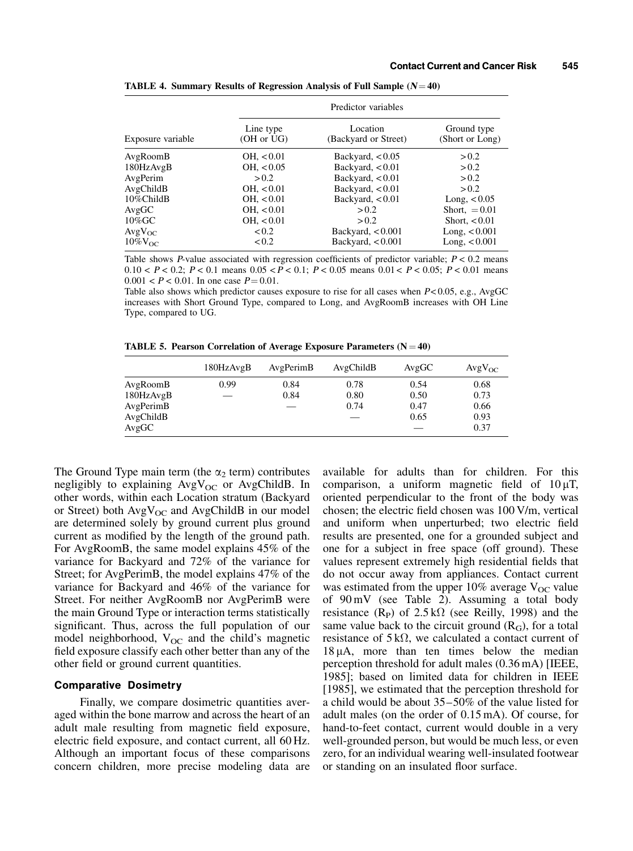|                   | Predictor variables     |                                  |                                |  |  |  |  |  |
|-------------------|-------------------------|----------------------------------|--------------------------------|--|--|--|--|--|
| Exposure variable | Line type<br>(OH or UG) | Location<br>(Backyard or Street) | Ground type<br>(Short or Long) |  |  |  |  |  |
| AvgRoomB          | OH, < 0.01              | Backyard, $< 0.05$               | > 0.2                          |  |  |  |  |  |
| 180HzAvgB         | OH, < 0.05              | Backyard, $< 0.01$               | > 0.2                          |  |  |  |  |  |
| AvgPerim          | > 0.2                   | Backyard, $< 0.01$               | > 0.2                          |  |  |  |  |  |
| AvgChildB         | OH, < 0.01              | Backyard, $< 0.01$               | > 0.2                          |  |  |  |  |  |
| 10%ChildB         | OH, < 0.01              | Backyard, $< 0.01$               | Long, $< 0.05$                 |  |  |  |  |  |
| AvgGC             | OH, < 0.01              | > 0.2                            | Short, $= 0.01$                |  |  |  |  |  |
| $10\%$ GC         | OH, < 0.01              | > 0.2                            | Short, $< 0.01$                |  |  |  |  |  |
| $AvgV_{OC}$       | < 0.2                   | Backyard, $< 0.001$              | Long, $< 0.001$                |  |  |  |  |  |
| $10\%$ $V_{OC}$   | < 0.2                   | Backyard, $< 0.001$              | Long, $< 0.001$                |  |  |  |  |  |

TABLE 4. Summary Results of Regression Analysis of Full Sample  $(N = 40)$ 

Table shows P-value associated with regression coefficients of predictor variable;  $P < 0.2$  means 0.10  $\lt P \lt 0.2$ ;  $P \lt 0.1$  means  $0.05 \lt P \lt 0.1$ ;  $P \lt 0.05$  means  $0.01 \lt P \lt 0.05$ ;  $P \lt 0.01$  means  $0.001 < P < 0.01$ . In one case  $P = 0.01$ .

Table also shows which predictor causes exposure to rise for all cases when  $P < 0.05$ , e.g., AvgGC increases with Short Ground Type, compared to Long, and AvgRoomB increases with OH Line Type, compared to UG.

TABLE 5. Pearson Correlation of Average Exposure Parameters  $(N = 40)$ 

|           | 180HzAvgB                | AvgPerimB | AvgChildB | AvgGC | $AvgV_{OC}$ |
|-----------|--------------------------|-----------|-----------|-------|-------------|
| AvgRoomB  | 0.99                     | 0.84      | 0.78      | 0.54  | 0.68        |
| 180HzAvgB | $\overline{\phantom{0}}$ | 0.84      | 0.80      | 0.50  | 0.73        |
| AvgPerimB |                          |           | 0.74      | 0.47  | 0.66        |
| AvgChildB |                          |           |           | 0.65  | 0.93        |
| AvgGC     |                          |           |           |       | 0.37        |

The Ground Type main term (the  $\alpha_2$  term) contributes negligibly to explaining  $AvgV_{OC}$  or AvgChildB. In other words, within each Location stratum (Backyard or Street) both  $AvgV_{OC}$  and AvgChildB in our model are determined solely by ground current plus ground current as modified by the length of the ground path. For AvgRoomB, the same model explains 45% of the variance for Backyard and 72% of the variance for Street; for AvgPerimB, the model explains 47% of the variance for Backyard and 46% of the variance for Street. For neither AvgRoomB nor AvgPerimB were the main Ground Type or interaction terms statistically significant. Thus, across the full population of our model neighborhood,  $V_{OC}$  and the child's magnetic field exposure classify each other better than any of the other field or ground current quantities.

#### Comparative Dosimetry

Finally, we compare dosimetric quantities averaged within the bone marrow and across the heart of an adult male resulting from magnetic field exposure, electric field exposure, and contact current, all 60 Hz. Although an important focus of these comparisons concern children, more precise modeling data are available for adults than for children. For this comparison, a uniform magnetic field of  $10 \mu T$ , oriented perpendicular to the front of the body was chosen; the electric field chosen was  $100$  V/m, vertical and uniform when unperturbed; two electric field results are presented, one for a grounded subject and one for a subject in free space (off ground). These values represent extremely high residential fields that do not occur away from appliances. Contact current was estimated from the upper 10% average  $V_{OC}$  value of 90 mV (see Table 2). Assuming a total body resistance  $(R_P)$  of  $2.5 k\Omega$  (see Reilly, 1998) and the same value back to the circuit ground  $(R_G)$ , for a total resistance of  $5k\Omega$ , we calculated a contact current of  $18 \mu A$ , more than ten times below the median perception threshold for adult males (0.36 mA) [IEEE, 1985]; based on limited data for children in IEEE [1985], we estimated that the perception threshold for a child would be about  $35-50\%$  of the value listed for adult males (on the order of 0.15 mA). Of course, for hand-to-feet contact, current would double in a very well-grounded person, but would be much less, or even zero, for an individual wearing well-insulated footwear or standing on an insulated floor surface.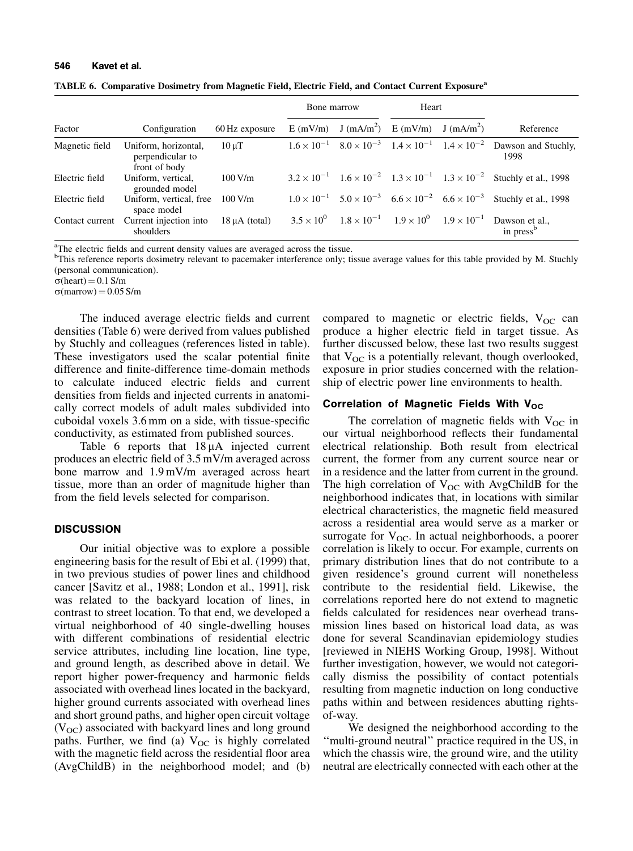| TABLE 6. Comparative Dosimetry from Magnetic Field, Electric Field, and Contact Current Exposure <sup>a</sup> |  |  |  |  |  |  |  |
|---------------------------------------------------------------------------------------------------------------|--|--|--|--|--|--|--|
|---------------------------------------------------------------------------------------------------------------|--|--|--|--|--|--|--|

|                 |                                                           |                    | Bone marrow         |                                                                                     | Heart                              |  |                                         |
|-----------------|-----------------------------------------------------------|--------------------|---------------------|-------------------------------------------------------------------------------------|------------------------------------|--|-----------------------------------------|
| Factor          | Configuration                                             | 60 Hz exposure     | $E$ (mV/m)          |                                                                                     | $J (mA/m^2)$ E (mV/m) $J (mA/m^2)$ |  | Reference                               |
| Magnetic field  | Uniform, horizontal,<br>perpendicular to<br>front of body | $10 \mu T$         |                     | $1.6 \times 10^{-1}$ $8.0 \times 10^{-3}$ $1.4 \times 10^{-1}$ $1.4 \times 10^{-2}$ |                                    |  | Dawson and Stuchly,<br>1998             |
| Electric field  | Uniform, vertical,<br>grounded model                      | 100 V/m            |                     | $3.2 \times 10^{-1}$ $1.6 \times 10^{-2}$ $1.3 \times 10^{-1}$ $1.3 \times 10^{-2}$ |                                    |  | Stuchly et al., 1998                    |
| Electric field  | Uniform, vertical, free<br>space model                    | 100 V/m            |                     | $1.0 \times 10^{-1}$ $5.0 \times 10^{-3}$ $6.6 \times 10^{-2}$ $6.6 \times 10^{-3}$ |                                    |  | Stuchly et al., 1998                    |
| Contact current | Current injection into<br>shoulders                       | $18 \mu A$ (total) | $3.5 \times 10^{0}$ | $1.8 \times 10^{-1}$ $1.9 \times 10^{0}$ $1.9 \times 10^{-1}$                       |                                    |  | Dawson et al.,<br>in press <sup>b</sup> |

<sup>a</sup>The electric fields and current density values are averaged across the tissue.<br><sup>b</sup>This reference reports dosimetry relevant to pacemaker interference only: ti

<sup>b</sup>This reference reports dosimetry relevant to pacemaker interference only; tissue average values for this table provided by M. Stuchly (personal communication).

 $\sigma$ (heart) = 0.1 S/m

 $\sigma$ (marrow) = 0.05 S/m

The induced average electric fields and current densities (Table 6) were derived from values published by Stuchly and colleagues (references listed in table). These investigators used the scalar potential finite difference and finite-difference time-domain methods to calculate induced electric fields and current densities from fields and injected currents in anatomically correct models of adult males subdivided into cuboidal voxels 3.6 mm on a side, with tissue-specific conductivity, as estimated from published sources.

Table 6 reports that  $18 \mu A$  injected current produces an electric field of  $3.5$  mV/m averaged across bone marrow and 1.9 mV/m averaged across heart tissue, more than an order of magnitude higher than from the field levels selected for comparison.

#### **DISCUSSION**

Our initial objective was to explore a possible engineering basis for the result of Ebi et al. (1999) that, in two previous studies of power lines and childhood cancer [Savitz et al., 1988; London et al., 1991], risk was related to the backyard location of lines, in contrast to street location. To that end, we developed a virtual neighborhood of 40 single-dwelling houses with different combinations of residential electric service attributes, including line location, line type, and ground length, as described above in detail. We report higher power-frequency and harmonic fields associated with overhead lines located in the backyard, higher ground currents associated with overhead lines and short ground paths, and higher open circuit voltage  $(V<sub>OC</sub>)$  associated with backyard lines and long ground paths. Further, we find (a)  $V_{OC}$  is highly correlated with the magnetic field across the residential floor area (AvgChildB) in the neighborhood model; and (b) compared to magnetic or electric fields,  $V_{OC}$  can produce a higher electric field in target tissue. As further discussed below, these last two results suggest that  $V_{OC}$  is a potentially relevant, though overlooked, exposure in prior studies concerned with the relationship of electric power line environments to health.

#### Correlation of Magnetic Fields With  $V_{OC}$

The correlation of magnetic fields with  $V_{OC}$  in our virtual neighborhood reflects their fundamental electrical relationship. Both result from electrical current, the former from any current source near or in a residence and the latter from current in the ground. The high correlation of  $V_{OC}$  with AvgChildB for the neighborhood indicates that, in locations with similar electrical characteristics, the magnetic field measured across a residential area would serve as a marker or surrogate for  $V_{OC}$ . In actual neighborhoods, a poorer correlation is likely to occur. For example, currents on primary distribution lines that do not contribute to a given residence's ground current will nonetheless contribute to the residential field. Likewise, the correlations reported here do not extend to magnetic fields calculated for residences near overhead transmission lines based on historical load data, as was done for several Scandinavian epidemiology studies [reviewed in NIEHS Working Group, 1998]. Without further investigation, however, we would not categorically dismiss the possibility of contact potentials resulting from magnetic induction on long conductive paths within and between residences abutting rightsof-way.

We designed the neighborhood according to the ``multi-ground neutral'' practice required in the US, in which the chassis wire, the ground wire, and the utility neutral are electrically connected with each other at the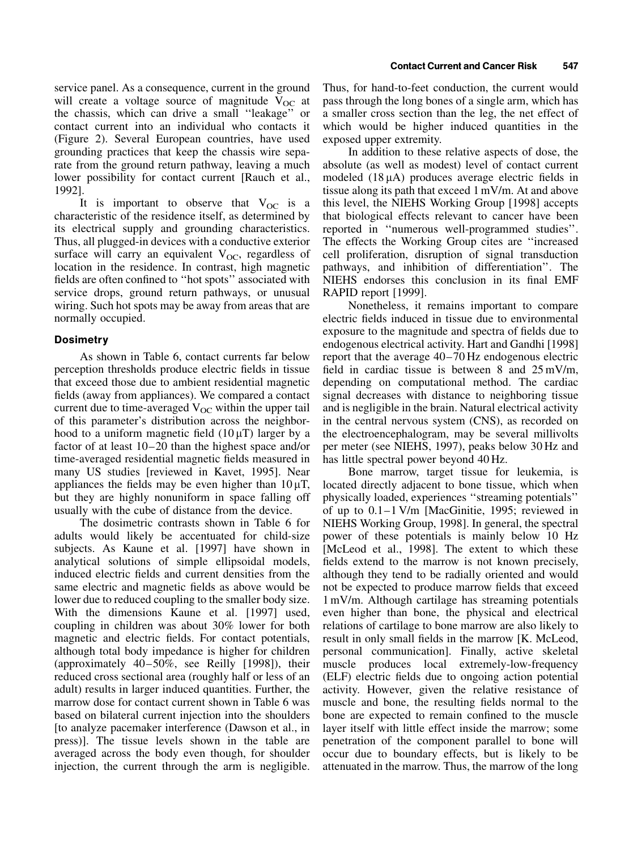service panel. As a consequence, current in the ground will create a voltage source of magnitude  $V_{OC}$  at the chassis, which can drive a small ``leakage'' or contact current into an individual who contacts it (Figure 2). Several European countries, have used grounding practices that keep the chassis wire separate from the ground return pathway, leaving a much lower possibility for contact current [Rauch et al., 1992].

It is important to observe that  $V_{OC}$  is a characteristic of the residence itself, as determined by its electrical supply and grounding characteristics. Thus, all plugged-in devices with a conductive exterior surface will carry an equivalent  $V_{OC}$ , regardless of location in the residence. In contrast, high magnetic fields are often confined to "hot spots" associated with service drops, ground return pathways, or unusual wiring. Such hot spots may be away from areas that are normally occupied.

## **Dosimetry**

As shown in Table 6, contact currents far below perception thresholds produce electric fields in tissue that exceed those due to ambient residential magnetic fields (away from appliances). We compared a contact current due to time-averaged  $V_{OC}$  within the upper tail of this parameter's distribution across the neighborhood to a uniform magnetic field  $(10 \mu T)$  larger by a factor of at least  $10-20$  than the highest space and/or time-averaged residential magnetic fields measured in many US studies [reviewed in Kavet, 1995]. Near appliances the fields may be even higher than  $10 \mu$ T, but they are highly nonuniform in space falling off usually with the cube of distance from the device.

The dosimetric contrasts shown in Table 6 for adults would likely be accentuated for child-size subjects. As Kaune et al. [1997] have shown in analytical solutions of simple ellipsoidal models, induced electric fields and current densities from the same electric and magnetic fields as above would be lower due to reduced coupling to the smaller body size. With the dimensions Kaune et al. [1997] used, coupling in children was about 30% lower for both magnetic and electric fields. For contact potentials, although total body impedance is higher for children (approximately  $40-50\%$ , see Reilly [1998]), their reduced cross sectional area (roughly half or less of an adult) results in larger induced quantities. Further, the marrow dose for contact current shown in Table 6 was based on bilateral current injection into the shoulders [to analyze pacemaker interference (Dawson et al., in press)]. The tissue levels shown in the table are averaged across the body even though, for shoulder injection, the current through the arm is negligible. Thus, for hand-to-feet conduction, the current would pass through the long bones of a single arm, which has a smaller cross section than the leg, the net effect of which would be higher induced quantities in the exposed upper extremity.

In addition to these relative aspects of dose, the absolute (as well as modest) level of contact current modeled  $(18 \mu A)$  produces average electric fields in tissue along its path that exceed 1 mV/m. At and above this level, the NIEHS Working Group [1998] accepts that biological effects relevant to cancer have been reported in "numerous well-programmed studies". The effects the Working Group cites are "increased cell proliferation, disruption of signal transduction pathways, and inhibition of differentiation''. The NIEHS endorses this conclusion in its final EMF RAPID report [1999].

Nonetheless, it remains important to compare electric fields induced in tissue due to environmental exposure to the magnitude and spectra of fields due to endogenous electrical activity. Hart and Gandhi [1998] report that the average  $40-70$  Hz endogenous electric field in cardiac tissue is between  $8$  and  $25 \text{ mV/m}$ , depending on computational method. The cardiac signal decreases with distance to neighboring tissue and is negligible in the brain. Natural electrical activity in the central nervous system (CNS), as recorded on the electroencephalogram, may be several millivolts per meter (see NIEHS, 1997), peaks below 30 Hz and has little spectral power beyond 40 Hz.

Bone marrow, target tissue for leukemia, is located directly adjacent to bone tissue, which when physically loaded, experiences "streaming potentials" of up to  $0.1 - 1$  V/m [MacGinitie, 1995; reviewed in NIEHS Working Group, 1998]. In general, the spectral power of these potentials is mainly below 10 Hz [McLeod et al., 1998]. The extent to which these fields extend to the marrow is not known precisely, although they tend to be radially oriented and would not be expected to produce marrow fields that exceed 1 mV/m. Although cartilage has streaming potentials even higher than bone, the physical and electrical relations of cartilage to bone marrow are also likely to result in only small fields in the marrow [K. McLeod, personal communication]. Finally, active skeletal muscle produces local extremely-low-frequency (ELF) electric fields due to ongoing action potential activity. However, given the relative resistance of muscle and bone, the resulting fields normal to the bone are expected to remain confined to the muscle layer itself with little effect inside the marrow; some penetration of the component parallel to bone will occur due to boundary effects, but is likely to be attenuated in the marrow. Thus, the marrow of the long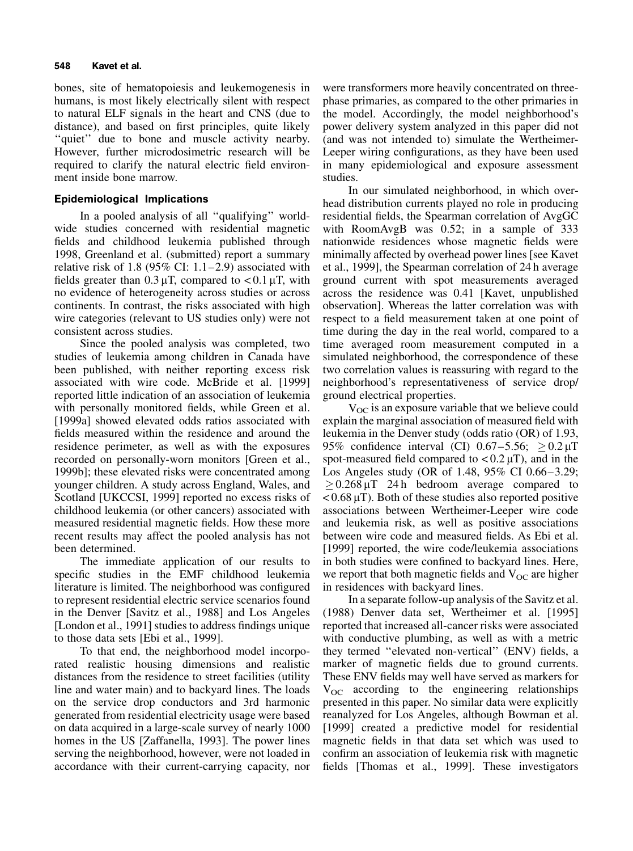bones, site of hematopoiesis and leukemogenesis in humans, is most likely electrically silent with respect to natural ELF signals in the heart and CNS (due to distance), and based on first principles, quite likely "quiet" due to bone and muscle activity nearby. However, further microdosimetric research will be required to clarify the natural electric field environment inside bone marrow.

## Epidemiological Implications

In a pooled analysis of all "qualifying" worldwide studies concerned with residential magnetic fields and childhood leukemia published through 1998, Greenland et al. (submitted) report a summary relative risk of 1.8 (95% CI:  $1.1-2.9$ ) associated with fields greater than  $0.3 \mu T$ , compared to < 0.1  $\mu$ T, with no evidence of heterogeneity across studies or across continents. In contrast, the risks associated with high wire categories (relevant to US studies only) were not consistent across studies.

Since the pooled analysis was completed, two studies of leukemia among children in Canada have been published, with neither reporting excess risk associated with wire code. McBride et al. [1999] reported little indication of an association of leukemia with personally monitored fields, while Green et al. [1999a] showed elevated odds ratios associated with fields measured within the residence and around the residence perimeter, as well as with the exposures recorded on personally-worn monitors [Green et al., 1999b]; these elevated risks were concentrated among younger children. A study across England, Wales, and Scotland [UKCCSI, 1999] reported no excess risks of childhood leukemia (or other cancers) associated with measured residential magnetic fields. How these more recent results may affect the pooled analysis has not been determined.

The immediate application of our results to specific studies in the EMF childhood leukemia literature is limited. The neighborhood was configured to represent residential electric service scenarios found in the Denver [Savitz et al., 1988] and Los Angeles [London et al., 1991] studies to address findings unique to those data sets [Ebi et al., 1999].

To that end, the neighborhood model incorporated realistic housing dimensions and realistic distances from the residence to street facilities (utility line and water main) and to backyard lines. The loads on the service drop conductors and 3rd harmonic generated from residential electricity usage were based on data acquired in a large-scale survey of nearly 1000 homes in the US [Zaffanella, 1993]. The power lines serving the neighborhood, however, were not loaded in accordance with their current-carrying capacity, nor

were transformers more heavily concentrated on threephase primaries, as compared to the other primaries in the model. Accordingly, the model neighborhood's power delivery system analyzed in this paper did not (and was not intended to) simulate the Wertheimer-Leeper wiring configurations, as they have been used in many epidemiological and exposure assessment studies.

In our simulated neighborhood, in which overhead distribution currents played no role in producing residential fields, the Spearman correlation of AvgGC with RoomAvgB was 0.52; in a sample of 333 nationwide residences whose magnetic fields were minimally affected by overhead power lines [see Kavet et al., 1999], the Spearman correlation of 24 h average ground current with spot measurements averaged across the residence was 0.41 [Kavet, unpublished observation]. Whereas the latter correlation was with respect to a field measurement taken at one point of time during the day in the real world, compared to a time averaged room measurement computed in a simulated neighborhood, the correspondence of these two correlation values is reassuring with regard to the neighborhood's representativeness of service drop/ ground electrical properties.

 $V_{\text{OC}}$  is an exposure variable that we believe could explain the marginal association of measured field with leukemia in the Denver study (odds ratio (OR) of 1.93, 95% confidence interval (CI) 0.67-5.56;  $\geq$  0.2  $\mu$ T spot-measured field compared to  $< 0.2 \mu$ T), and in the Los Angeles study (OR of 1.48,  $95\%$  CI 0.66-3.29;  $\geq 0.268 \,\mu T$  24 h bedroom average compared to  $< 0.68 \mu$ T). Both of these studies also reported positive associations between Wertheimer-Leeper wire code and leukemia risk, as well as positive associations between wire code and measured fields. As Ebi et al. [1999] reported, the wire code/leukemia associations in both studies were confined to backyard lines. Here, we report that both magnetic fields and  $V_{OC}$  are higher in residences with backyard lines.

In a separate follow-up analysis of the Savitz et al. (1988) Denver data set, Wertheimer et al. [1995] reported that increased all-cancer risks were associated with conductive plumbing, as well as with a metric they termed "elevated non-vertical" (ENV) fields, a marker of magnetic fields due to ground currents. These ENV fields may well have served as markers for  $V_{OC}$  according to the engineering relationships presented in this paper. No similar data were explicitly reanalyzed for Los Angeles, although Bowman et al. [1999] created a predictive model for residential magnetic fields in that data set which was used to confirm an association of leukemia risk with magnetic fields [Thomas et al., 1999]. These investigators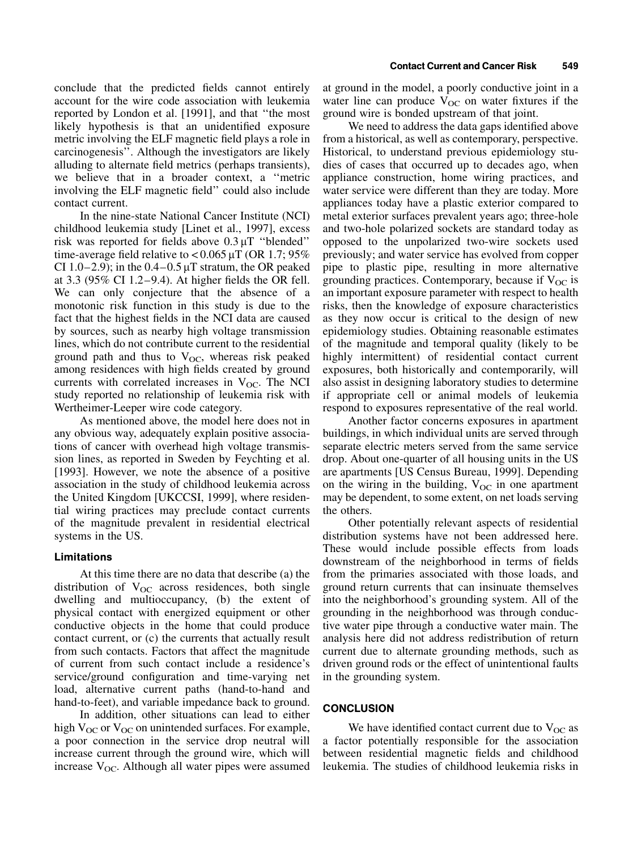conclude that the predicted fields cannot entirely account for the wire code association with leukemia reported by London et al. [1991], and that ``the most likely hypothesis is that an unidentified exposure metric involving the ELF magnetic field plays a role in carcinogenesis''. Although the investigators are likely alluding to alternate field metrics (perhaps transients), we believe that in a broader context, a "metric involving the ELF magnetic field" could also include contact current.

In the nine-state National Cancer Institute (NCI) childhood leukemia study [Linet et al., 1997], excess risk was reported for fields above  $0.3 \mu$ T "blended" time-average field relative to  $< 0.065 \mu T$  (OR 1.7; 95%) CI 1.0 $-2.9$ ); in the 0.4 $-0.5 \mu$ T stratum, the OR peaked at 3.3 (95% CI 1.2 $-9.4$ ). At higher fields the OR fell. We can only conjecture that the absence of a monotonic risk function in this study is due to the fact that the highest fields in the NCI data are caused by sources, such as nearby high voltage transmission lines, which do not contribute current to the residential ground path and thus to  $V_{OC}$ , whereas risk peaked among residences with high fields created by ground currents with correlated increases in  $V_{OC}$ . The NCI study reported no relationship of leukemia risk with Wertheimer-Leeper wire code category.

As mentioned above, the model here does not in any obvious way, adequately explain positive associations of cancer with overhead high voltage transmission lines, as reported in Sweden by Feychting et al. [1993]. However, we note the absence of a positive association in the study of childhood leukemia across the United Kingdom [UKCCSI, 1999], where residential wiring practices may preclude contact currents of the magnitude prevalent in residential electrical systems in the US.

#### Limitations

At this time there are no data that describe (a) the distribution of  $V_{OC}$  across residences, both single dwelling and multioccupancy, (b) the extent of physical contact with energized equipment or other conductive objects in the home that could produce contact current, or (c) the currents that actually result from such contacts. Factors that affect the magnitude of current from such contact include a residence's service/ground configuration and time-varying net load, alternative current paths (hand-to-hand and hand-to-feet), and variable impedance back to ground.

In addition, other situations can lead to either high  $V_{OC}$  or  $V_{OC}$  on unintended surfaces. For example, a poor connection in the service drop neutral will increase current through the ground wire, which will increase  $V_{OC}$ . Although all water pipes were assumed at ground in the model, a poorly conductive joint in a water line can produce  $V_{OC}$  on water fixtures if the ground wire is bonded upstream of that joint.

We need to address the data gaps identified above from a historical, as well as contemporary, perspective. Historical, to understand previous epidemiology studies of cases that occurred up to decades ago, when appliance construction, home wiring practices, and water service were different than they are today. More appliances today have a plastic exterior compared to metal exterior surfaces prevalent years ago; three-hole and two-hole polarized sockets are standard today as opposed to the unpolarized two-wire sockets used previously; and water service has evolved from copper pipe to plastic pipe, resulting in more alternative grounding practices. Contemporary, because if  $V_{OC}$  is an important exposure parameter with respect to health risks, then the knowledge of exposure characteristics as they now occur is critical to the design of new epidemiology studies. Obtaining reasonable estimates of the magnitude and temporal quality (likely to be highly intermittent) of residential contact current exposures, both historically and contemporarily, will also assist in designing laboratory studies to determine if appropriate cell or animal models of leukemia respond to exposures representative of the real world.

Another factor concerns exposures in apartment buildings, in which individual units are served through separate electric meters served from the same service drop. About one-quarter of all housing units in the US are apartments [US Census Bureau, 1999]. Depending on the wiring in the building,  $V_{OC}$  in one apartment may be dependent, to some extent, on net loads serving the others.

Other potentially relevant aspects of residential distribution systems have not been addressed here. These would include possible effects from loads downstream of the neighborhood in terms of fields from the primaries associated with those loads, and ground return currents that can insinuate themselves into the neighborhood's grounding system. All of the grounding in the neighborhood was through conductive water pipe through a conductive water main. The analysis here did not address redistribution of return current due to alternate grounding methods, such as driven ground rods or the effect of unintentional faults in the grounding system.

## **CONCLUSION**

We have identified contact current due to  $V_{OC}$  as a factor potentially responsible for the association between residential magnetic fields and childhood leukemia. The studies of childhood leukemia risks in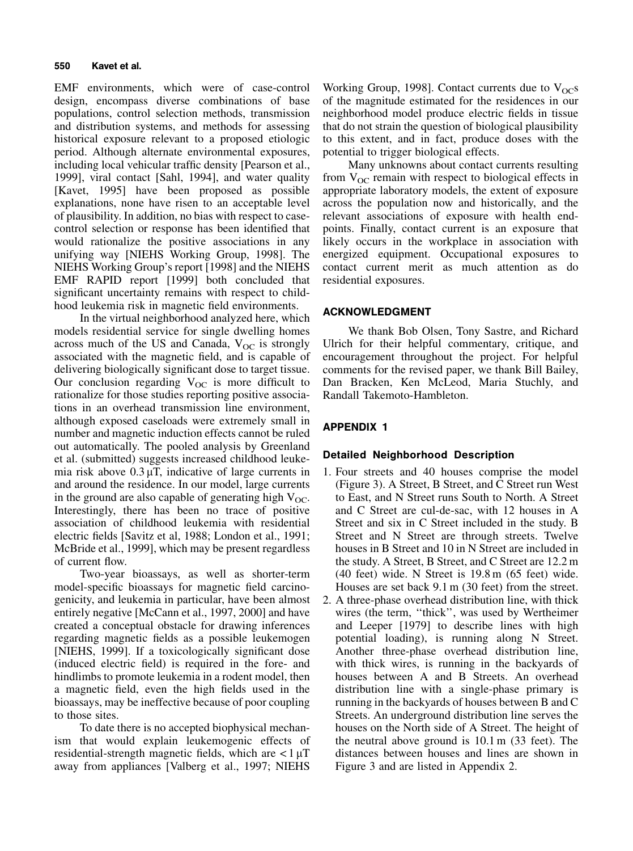EMF environments, which were of case-control design, encompass diverse combinations of base populations, control selection methods, transmission and distribution systems, and methods for assessing historical exposure relevant to a proposed etiologic period. Although alternate environmental exposures, including local vehicular traffic density [Pearson et al., 1999], viral contact [Sahl, 1994], and water quality [Kavet, 1995] have been proposed as possible explanations, none have risen to an acceptable level of plausibility. In addition, no bias with respect to casecontrol selection or response has been identified that would rationalize the positive associations in any unifying way [NIEHS Working Group, 1998]. The NIEHS Working Group's report [1998] and the NIEHS EMF RAPID report [1999] both concluded that significant uncertainty remains with respect to childhood leukemia risk in magnetic field environments.

In the virtual neighborhood analyzed here, which models residential service for single dwelling homes across much of the US and Canada,  $V_{OC}$  is strongly associated with the magnetic field, and is capable of delivering biologically significant dose to target tissue. Our conclusion regarding  $V_{OC}$  is more difficult to rationalize for those studies reporting positive associations in an overhead transmission line environment, although exposed caseloads were extremely small in number and magnetic induction effects cannot be ruled out automatically. The pooled analysis by Greenland et al. (submitted) suggests increased childhood leukemia risk above  $0.3 \mu$ T, indicative of large currents in and around the residence. In our model, large currents in the ground are also capable of generating high  $V_{OC}$ . Interestingly, there has been no trace of positive association of childhood leukemia with residential electric fields [Savitz et al, 1988; London et al., 1991; McBride et al., 1999], which may be present regardless of current flow.

Two-year bioassays, as well as shorter-term model-specific bioassays for magnetic field carcinogenicity, and leukemia in particular, have been almost entirely negative [McCann et al., 1997, 2000] and have created a conceptual obstacle for drawing inferences regarding magnetic fields as a possible leukemogen [NIEHS, 1999]. If a toxicologically significant dose (induced electric field) is required in the fore- and hindlimbs to promote leukemia in a rodent model, then a magnetic field, even the high fields used in the bioassays, may be ineffective because of poor coupling to those sites.

To date there is no accepted biophysical mechanism that would explain leukemogenic effects of residential-strength magnetic fields, which are  $\langle 1 \mu T \rangle$ away from appliances [Valberg et al., 1997; NIEHS

Working Group, 1998]. Contact currents due to  $V_{OC}$ s of the magnitude estimated for the residences in our neighborhood model produce electric fields in tissue that do not strain the question of biological plausibility to this extent, and in fact, produce doses with the potential to trigger biological effects.

Many unknowns about contact currents resulting from  $V_{OC}$  remain with respect to biological effects in appropriate laboratory models, the extent of exposure across the population now and historically, and the relevant associations of exposure with health endpoints. Finally, contact current is an exposure that likely occurs in the workplace in association with energized equipment. Occupational exposures to contact current merit as much attention as do residential exposures.

## ACKNOWLEDGMENT

We thank Bob Olsen, Tony Sastre, and Richard Ulrich for their helpful commentary, critique, and encouragement throughout the project. For helpful comments for the revised paper, we thank Bill Bailey, Dan Bracken, Ken McLeod, Maria Stuchly, and Randall Takemoto-Hambleton.

# APPENDIX 1

## Detailed Neighborhood Description

- 1. Four streets and 40 houses comprise the model (Figure 3). A Street, B Street, and C Street run West to East, and N Street runs South to North. A Street and C Street are cul-de-sac, with 12 houses in A Street and six in C Street included in the study. B Street and N Street are through streets. Twelve houses in B Street and 10 in N Street are included in the study. A Street, B Street, and C Street are 12.2 m (40 feet) wide. N Street is 19.8 m (65 feet) wide. Houses are set back 9.1 m (30 feet) from the street.
- 2. A three-phase overhead distribution line, with thick wires (the term, "thick", was used by Wertheimer and Leeper [1979] to describe lines with high potential loading), is running along N Street. Another three-phase overhead distribution line, with thick wires, is running in the backyards of houses between A and B Streets. An overhead distribution line with a single-phase primary is running in the backyards of houses between B and C Streets. An underground distribution line serves the houses on the North side of A Street. The height of the neutral above ground is 10.1 m (33 feet). The distances between houses and lines are shown in Figure 3 and are listed in Appendix 2.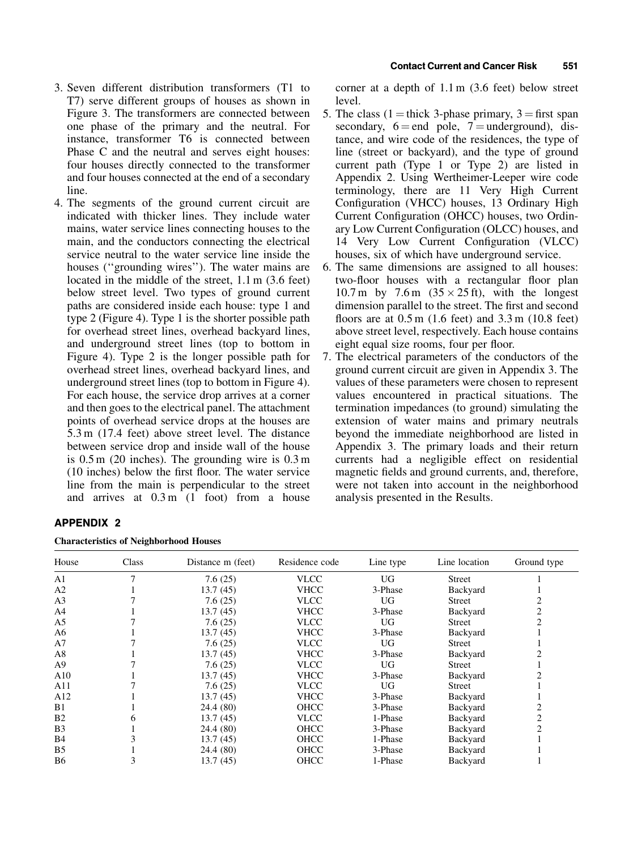- 3. Seven different distribution transformers (T1 to T7) serve different groups of houses as shown in Figure 3. The transformers are connected between one phase of the primary and the neutral. For instance, transformer T6 is connected between Phase C and the neutral and serves eight houses: four houses directly connected to the transformer and four houses connected at the end of a secondary line.
- 4. The segments of the ground current circuit are indicated with thicker lines. They include water mains, water service lines connecting houses to the main, and the conductors connecting the electrical service neutral to the water service line inside the houses ("grounding wires"). The water mains are located in the middle of the street, 1.1 m (3.6 feet) below street level. Two types of ground current paths are considered inside each house: type 1 and type 2 (Figure 4). Type 1 is the shorter possible path for overhead street lines, overhead backyard lines, and underground street lines (top to bottom in Figure 4). Type 2 is the longer possible path for overhead street lines, overhead backyard lines, and underground street lines (top to bottom in Figure 4). For each house, the service drop arrives at a corner and then goes to the electrical panel. The attachment points of overhead service drops at the houses are 5.3 m (17.4 feet) above street level. The distance between service drop and inside wall of the house is 0.5 m (20 inches). The grounding wire is 0.3 m  $(10$  inches) below the first floor. The water service line from the main is perpendicular to the street and arrives at 0.3 m (1 foot) from a house

# APPENDIX 2

| <b>Characteristics of Neighborhood Houses</b> |  |  |  |
|-----------------------------------------------|--|--|--|
|-----------------------------------------------|--|--|--|

corner at a depth of 1.1 m (3.6 feet) below street level.

- 5. The class (1 = thick 3-phase primary,  $3 =$  first span secondary,  $6 = end$  pole,  $7 =$ underground), distance, and wire code of the residences, the type of line (street or backyard), and the type of ground current path (Type 1 or Type 2) are listed in Appendix 2. Using Wertheimer-Leeper wire code terminology, there are 11 Very High Current Configuration (VHCC) houses, 13 Ordinary High Current Configuration (OHCC) houses, two Ordinary Low Current Configuration (OLCC) houses, and 14 Very Low Current Configuration (VLCC) houses, six of which have underground service.
- 6. The same dimensions are assigned to all houses: two-floor houses with a rectangular floor plan 10.7 m by 7.6 m  $(35 \times 25 \text{ ft})$ , with the longest dimension parallel to the street. The first and second floors are at  $0.5 \text{ m}$  (1.6 feet) and  $3.3 \text{ m}$  (10.8 feet) above street level, respectively. Each house contains eight equal size rooms, four per floor.
- 7. The electrical parameters of the conductors of the ground current circuit are given in Appendix 3. The values of these parameters were chosen to represent values encountered in practical situations. The termination impedances (to ground) simulating the extension of water mains and primary neutrals beyond the immediate neighborhood are listed in Appendix 3. The primary loads and their return currents had a negligible effect on residential magnetic fields and ground currents, and, therefore, were not taken into account in the neighborhood analysis presented in the Results.

| House          | Class | Distance m (feet) | Residence code | Line type | Line location | Ground type    |
|----------------|-------|-------------------|----------------|-----------|---------------|----------------|
| A <sub>1</sub> |       | 7.6(25)           | <b>VLCC</b>    | UG        | <b>Street</b> |                |
| A <sub>2</sub> |       | 13.7(45)          | <b>VHCC</b>    | 3-Phase   | Backyard      |                |
| A <sub>3</sub> |       | 7.6(25)           | <b>VLCC</b>    | UG        | Street        |                |
| A4             |       | 13.7(45)          | <b>VHCC</b>    | 3-Phase   | Backyard      | $\overline{c}$ |
| A5             |       | 7.6(25)           | <b>VLCC</b>    | UG        | <b>Street</b> |                |
| A6             |       | 13.7(45)          | <b>VHCC</b>    | 3-Phase   | Backyard      |                |
| A <sub>7</sub> |       | 7.6(25)           | <b>VLCC</b>    | UG        | <b>Street</b> |                |
| A8             |       | 13.7(45)          | <b>VHCC</b>    | 3-Phase   | Backyard      |                |
| A <sub>9</sub> |       | 7.6(25)           | <b>VLCC</b>    | UG.       | <b>Street</b> |                |
| A10            |       | 13.7(45)          | <b>VHCC</b>    | 3-Phase   | Backyard      |                |
| A11            |       | 7.6(25)           | <b>VLCC</b>    | UG        | <b>Street</b> |                |
| A12            |       | 13.7(45)          | <b>VHCC</b>    | 3-Phase   | Backyard      |                |
| B1             |       | 24.4 (80)         | <b>OHCC</b>    | 3-Phase   | Backyard      |                |
| B <sub>2</sub> |       | 13.7(45)          | <b>VLCC</b>    | 1-Phase   | Backyard      | $\mathfrak{D}$ |
| B <sub>3</sub> |       | 24.4 (80)         | OHCC           | 3-Phase   | Backyard      |                |
| <b>B4</b>      |       | 13.7(45)          | <b>OHCC</b>    | 1-Phase   | Backyard      |                |
| B <sub>5</sub> |       | 24.4 (80)         | OHCC           | 3-Phase   | Backyard      |                |
| B <sub>6</sub> |       | 13.7(45)          | OHCC           | 1-Phase   | Backyard      |                |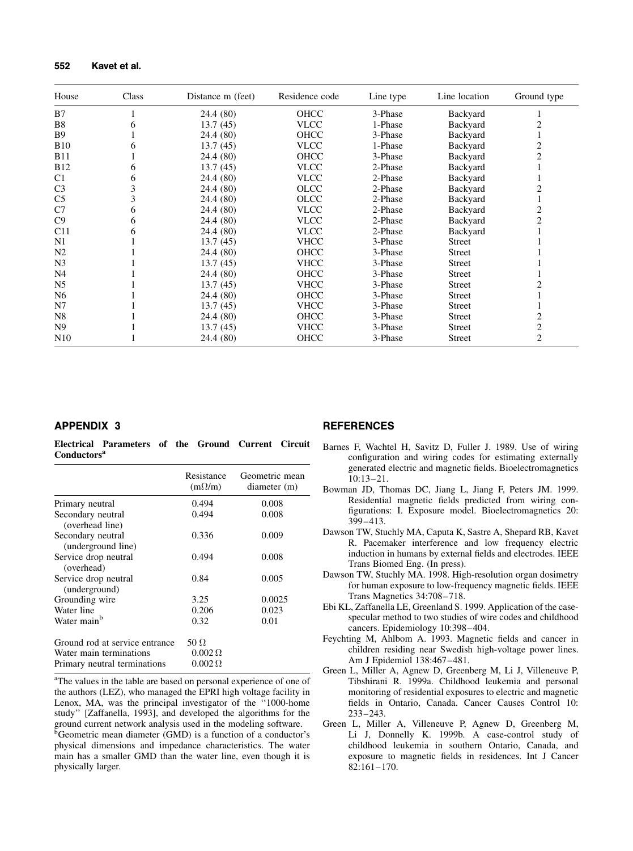| House           | Class | Distance m (feet) | Residence code | Line type | Line location | Ground type    |
|-----------------|-------|-------------------|----------------|-----------|---------------|----------------|
| B7              |       | 24.4 (80)         | OHCC           | 3-Phase   | Backyard      |                |
| B8              | 6     | 13.7(45)          | <b>VLCC</b>    | 1-Phase   | Backyard      |                |
| <b>B</b> 9      |       | 24.4 (80)         | <b>OHCC</b>    | 3-Phase   | Backyard      |                |
| <b>B10</b>      | h     | 13.7(45)          | <b>VLCC</b>    | 1-Phase   | Backyard      | 2              |
| <b>B11</b>      |       | 24.4 (80)         | <b>OHCC</b>    | 3-Phase   | Backyard      | 2              |
| <b>B12</b>      | 6     | 13.7(45)          | <b>VLCC</b>    | 2-Phase   | Backyard      |                |
| C1              | 6     | 24.4 (80)         | <b>VLCC</b>    | 2-Phase   | Backyard      |                |
| C <sub>3</sub>  |       | 24.4 (80)         | <b>OLCC</b>    | 2-Phase   | Backyard      | 2              |
| C <sub>5</sub>  |       | 24.4 (80)         | <b>OLCC</b>    | 2-Phase   | Backyard      |                |
| C7              | 6     | 24.4 (80)         | <b>VLCC</b>    | 2-Phase   | Backyard      | $\overline{c}$ |
| C9              | 6     | 24.4 (80)         | <b>VLCC</b>    | 2-Phase   | Backyard      | 2              |
| C11             | 6     | 24.4 (80)         | <b>VLCC</b>    | 2-Phase   | Backyard      |                |
| N1              |       | 13.7(45)          | <b>VHCC</b>    | 3-Phase   | <b>Street</b> |                |
| N <sub>2</sub>  |       | 24.4 (80)         | OHCC           | 3-Phase   | <b>Street</b> |                |
| N <sub>3</sub>  |       | 13.7(45)          | <b>VHCC</b>    | 3-Phase   | <b>Street</b> |                |
| N4              |       | 24.4 (80)         | OHCC           | 3-Phase   | <b>Street</b> |                |
| N <sub>5</sub>  |       | 13.7(45)          | <b>VHCC</b>    | 3-Phase   | <b>Street</b> |                |
| N6              |       | 24.4 (80)         | <b>OHCC</b>    | 3-Phase   | <b>Street</b> |                |
| N7              |       | 13.7(45)          | <b>VHCC</b>    | 3-Phase   | Street        |                |
| N8              |       | 24.4 (80)         | <b>OHCC</b>    | 3-Phase   | <b>Street</b> | 2              |
| N <sub>9</sub>  |       | 13.7(45)          | <b>VHCC</b>    | 3-Phase   | <b>Street</b> | 2              |
| N <sub>10</sub> |       | 24.4 (80)         | OHCC           | 3-Phase   | <b>Street</b> | $\overline{2}$ |

#### APPENDIX 3

Electrical Parameters of the Ground Current Circuit Conductors<sup>a</sup>

|                                       | Resistance<br>$(m\Omega/m)$ | Geometric mean<br>diameter (m) |
|---------------------------------------|-----------------------------|--------------------------------|
| Primary neutral                       | 0.494                       | 0.008                          |
| Secondary neutral                     | 0.494                       | 0.008                          |
| (overhead line)                       |                             |                                |
| Secondary neutral                     | 0.336                       | 0.009                          |
| (underground line)                    |                             |                                |
| Service drop neutral                  | 0.494                       | 0.008                          |
| (overhead)                            |                             |                                |
| Service drop neutral<br>(underground) | 0.84                        | 0.005                          |
| Grounding wire                        | 3.25                        | 0.0025                         |
| Water line                            | 0.206                       | 0.023                          |
| Water main <sup>b</sup>               | 0.32                        | 0.01                           |
| Ground rod at service entrance        | 50 $\Omega$                 |                                |
| Water main terminations               | $0.002\,\Omega$             |                                |
| Primary neutral terminations          | $0.002\,\Omega$             |                                |

<sup>a</sup>The values in the table are based on personal experience of one of the authors (LEZ), who managed the EPRI high voltage facility in Lenox, MA, was the principal investigator of the "1000-home study" [Zaffanella, 1993], and developed the algorithms for the ground current network analysis used in the modeling software.  ${}^{\overline{b}}$ Geometric mean diameter (GMD) is a function of a conductor's physical dimensions and impedance characteristics. The water main has a smaller GMD than the water line, even though it is physically larger.

## **REFERENCES**

- Barnes F, Wachtel H, Savitz D, Fuller J. 1989. Use of wiring configuration and wiring codes for estimating externally generated electric and magnetic fields. Bioelectromagnetics 10:13±21.
- Bowman JD, Thomas DC, Jiang L, Jiang F, Peters JM. 1999. Residential magnetic fields predicted from wiring configurations: I. Exposure model. Bioelectromagnetics 20: 399±413.
- Dawson TW, Stuchly MA, Caputa K, Sastre A, Shepard RB, Kavet R. Pacemaker interference and low frequency electric induction in humans by external fields and electrodes. IEEE Trans Biomed Eng. (In press).
- Dawson TW, Stuchly MA. 1998. High-resolution organ dosimetry for human exposure to low-frequency magnetic fields. IEEE Trans Magnetics 34:708-718.
- Ebi KL, Zaffanella LE, Greenland S. 1999. Application of the casespecular method to two studies of wire codes and childhood cancers. Epidemiology 10:398-404.
- Feychting M, Ahlbom A. 1993. Magnetic fields and cancer in children residing near Swedish high-voltage power lines. Am J Epidemiol 138:467-481.
- Green L, Miller A, Agnew D, Greenberg M, Li J, Villeneuve P, Tibshirani R. 1999a. Childhood leukemia and personal monitoring of residential exposures to electric and magnetic fields in Ontario, Canada. Cancer Causes Control 10: 233±243.
- Green L, Miller A, Villeneuve P, Agnew D, Greenberg M, Li J, Donnelly K. 1999b. A case-control study of childhood leukemia in southern Ontario, Canada, and exposure to magnetic fields in residences. Int J Cancer 82:161±170.